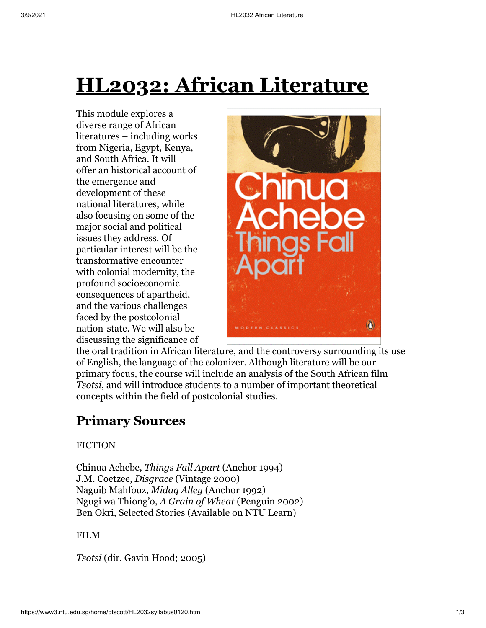# **HL2032: African Literature**

This module explores a diverse range of African literatures – including works from Nigeria, Egypt, Kenya, and South Africa. It will offer an historical account of the emergence and development of these national literatures, while also focusing on some of the major social and political issues they address. Of particular interest will be the transformative encounter with colonial modernity, the profound socioeconomic consequences of apartheid, and the various challenges faced by the postcolonial nation-state. We will also be discussing the significance of



the oral tradition in African literature, and the controversy surrounding its use of English, the language of the colonizer. Although literature will be our primary focus, the course will include an analysis of the South African film *Tsotsi*, and will introduce students to a number of important theoretical concepts within the field of postcolonial studies.

## **Primary Sources**

#### **FICTION**

Chinua Achebe, *Things Fall Apart* (Anchor 1994) J.M. Coetzee, *Disgrace* (Vintage 2000) Naguib Mahfouz, *Midaq Alley* (Anchor 1992) Ngugi wa Thiong'o, *A Grain of Wheat* (Penguin 2002) Ben Okri, Selected Stories (Available on NTU Learn)

#### FILM

*Tsotsi* (dir. Gavin Hood; 2005)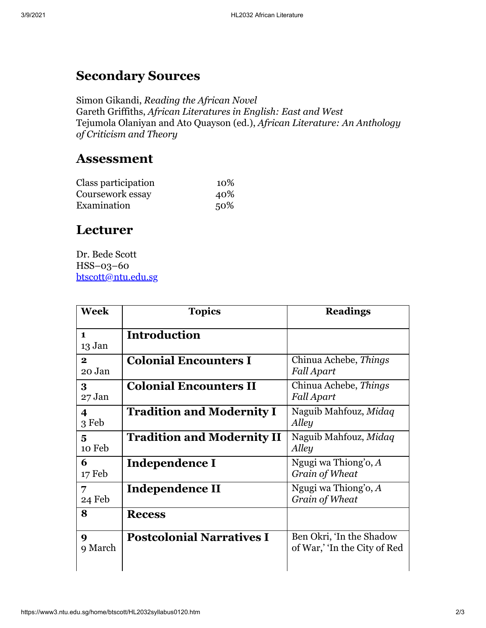# **Secondary Sources**

Simon Gikandi, *Reading the African Novel* Gareth Griffiths, *African Literatures in English: East and West* Tejumola Olaniyan and Ato Quayson (ed.), *African Literature: An Anthology of Criticism and Theory*

### **Assessment**

| Class participation | 10% |
|---------------------|-----|
| Coursework essay    | 40% |
| Examination         | 50% |

## **Lecturer**

Dr. Bede Scott HSS–03–60 [btscott@ntu.edu.sg](mailto:btscott@ntu.edu.sg)

| <b>Week</b>                      | <b>Topics</b>                     | <b>Readings</b>                                          |
|----------------------------------|-----------------------------------|----------------------------------------------------------|
| $\mathbf{1}$<br>13 Jan           | <b>Introduction</b>               |                                                          |
| $\mathbf{2}$<br>20 Jan           | <b>Colonial Encounters I</b>      | Chinua Achebe, Things<br><b>Fall Apart</b>               |
| 3<br>27 Jan                      | <b>Colonial Encounters II</b>     | Chinua Achebe, Things<br><b>Fall Apart</b>               |
| $\overline{\mathbf{4}}$<br>3 Feb | <b>Tradition and Modernity I</b>  | Naguib Mahfouz, Midaq<br>Alley                           |
| 5<br>10 Feb                      | <b>Tradition and Modernity II</b> | Naguib Mahfouz, Midaq<br>Alley                           |
| 6<br>17 Feb                      | Independence I                    | Ngugi wa Thiong'o, A<br>Grain of Wheat                   |
| 7<br>24 Feb                      | Independence II                   | Ngugi wa Thiong'o, A<br>Grain of Wheat                   |
| 8                                | <b>Recess</b>                     |                                                          |
| 9<br>9 March                     | <b>Postcolonial Narratives I</b>  | Ben Okri, 'In the Shadow<br>of War,' 'In the City of Red |